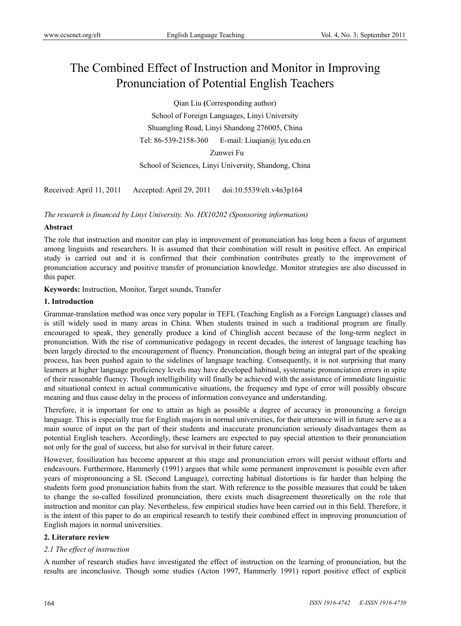# The Combined Effect of Instruction and Monitor in Improving Pronunciation of Potential English Teachers

Qian Liu **(**Corresponding author)

School of Foreign Languages, Linyi University Shuangling Road, Linyi Shandong 276005, China Tel: 86-539-2158-360 E-mail: Liuqian@ lyu.edu.cn

Zunwei Fu

School of Sciences, Linyi University, Shandong, China

Received: April 11, 2011 Accepted: April 29, 2011 doi:10.5539/elt.v4n3p164

*The research is financed by Linyi University. No. HX10202 (Sponsoring information)* 

# **Abstract**

The role that instruction and monitor can play in improvement of pronunciation has long been a focus of argument among linguists and researchers. It is assumed that their combination will result in positive effect. An empirical study is carried out and it is confirmed that their combination contributes greatly to the improvement of pronunciation accuracy and positive transfer of pronunciation knowledge. Monitor strategies are also discussed in this paper.

**Keywords:** Instruction, Monitor, Target sounds, Transfer

# **1. Introduction**

Grammar-translation method was once very popular in TEFL (Teaching English as a Foreign Language) classes and is still widely used in many areas in China. When students trained in such a traditional program are finally encouraged to speak, they generally produce a kind of Chinglish accent because of the long-term neglect in pronunciation. With the rise of communicative pedagogy in recent decades, the interest of language teaching has been largely directed to the encouragement of fluency. Pronunciation, though being an integral part of the speaking process, has been pushed again to the sidelines of language teaching. Consequently, it is not surprising that many learners at higher language proficiency levels may have developed habitual, systematic pronunciation errors in spite of their reasonable fluency. Though intelligibility will finally be achieved with the assistance of immediate linguistic and situational context in actual communicative situations, the frequency and type of error will possibly obscure meaning and thus cause delay in the process of information conveyance and understanding.

Therefore, it is important for one to attain as high as possible a degree of accuracy in pronouncing a foreign language. This is especially true for English majors in normal universities, for their utterance will in future serve as a main source of input on the part of their students and inaccurate pronunciation seriously disadvantages them as potential English teachers. Accordingly, these learners are expected to pay special attention to their pronunciation not only for the goal of success, but also for survival in their future career.

However, fossilization has become apparent at this stage and pronunciation errors will persist without efforts and endeavours. Furthermore, Hammerly (1991) argues that while some permanent improvement is possible even after years of mispronouncing a SL (Second Language), correcting habitual distortions is far harder than helping the students form good pronunciation habits from the start. With reference to the possible measures that could be taken to change the so-called fossilized pronunciation, there exists much disagreement theoretically on the role that instruction and monitor can play. Nevertheless, few empirical studies have been carried out in this field. Therefore, it is the intent of this paper to do an empirical research to testify their combined effect in improving pronunciation of English majors in normal universities.

# **2. Literature review**

# *2.1 The effect of instruction*

A number of research studies have investigated the effect of instruction on the learning of pronunciation, but the results are inconclusive. Though some studies (Acton 1997, Hammerly 1991) report positive effect of explicit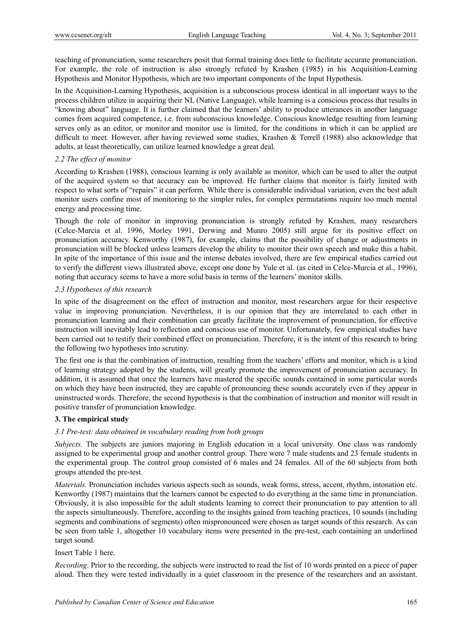teaching of pronunciation, some researchers posit that formal training does little to facilitate accurate pronunciation. For example, the role of instruction is also strongly refuted by Krashen (1985) in his Acquisition-Learning Hypothesis and Monitor Hypothesis, which are two important components of the Input Hypothesis.

In the Acquisition-Learning Hypothesis, acquisition is a subconscious process identical in all important ways to the process children utilize in acquiring their NL (Native Language), while learning is a conscious process that results in "knowing about" language. It is further claimed that the learners' ability to produce utterances in another language comes from acquired competence, i.e. from subconscious knowledge. Conscious knowledge resulting from learning serves only as an editor, or monitor and monitor use is limited, for the conditions in which it can be applied are difficult to meet. However, after having reviewed some studies, Krashen & Terrell (1988) also acknowledge that adults, at least theoretically, can utilize learned knowledge a great deal.

#### *2.2 The effect of monitor*

According to Krashen (1988), conscious learning is only available as monitor, which can be used to alter the output of the acquired system so that accuracy can be improved. He further claims that monitor is fairly limited with respect to what sorts of "repairs" it can perform. While there is considerable individual variation, even the best adult monitor users confine most of monitoring to the simpler rules, for complex permutations require too much mental energy and processing time.

Though the role of monitor in improving pronunciation is strongly refuted by Krashen, many researchers (Celce-Murcia et al. 1996, Morley 1991, Derwing and Munro 2005) still argue for its positive effect on pronunciation accuracy. Kenworthy (1987), for example, claims that the possibility of change or adjustments in pronunciation will be blocked unless learners develop the ability to monitor their own speech and make this a habit. In spite of the importance of this issue and the intense debates involved, there are few empirical studies carried out to verify the different views illustrated above, except one done by Yule et al. (as cited in Celce-Murcia et al., 1996), noting that accuracy seems to have a more solid basis in terms of the learners' monitor skills.

#### *2.3 Hypotheses of this research*

In spite of the disagreement on the effect of instruction and monitor, most researchers argue for their respective value in improving pronunciation. Nevertheless, it is our opinion that they are interrelated to each other in pronunciation learning and their combination can greatly facilitate the improvement of pronunciation, for effective instruction will inevitably lead to reflection and conscious use of monitor. Unfortunately, few empirical studies have been carried out to testify their combined effect on pronunciation. Therefore, it is the intent of this research to bring the following two hypotheses into scrutiny.

The first one is that the combination of instruction, resulting from the teachers' efforts and monitor, which is a kind of learning strategy adopted by the students, will greatly promote the improvement of pronunciation accuracy. In addition, it is assumed that once the learners have mastered the specific sounds contained in some particular words on which they have been instructed, they are capable of pronouncing these sounds accurately even if they appear in uninstructed words. Therefore, the second hypothesis is that the combination of instruction and monitor will result in positive transfer of pronunciation knowledge.

#### **3. The empirical study**

#### *3.1 Pre-test: data obtained in vocabulary reading from both groups*

*Subjects.* The subjects are juniors majoring in English education in a local university. One class was randomly assigned to be experimental group and another control group. There were 7 male students and 23 female students in the experimental group. The control group consisted of 6 males and 24 females. All of the 60 subjects from both groups attended the pre-test.

*Materials.* Pronunciation includes various aspects such as sounds, weak forms, stress, accent, rhythm, intonation etc. Kenworthy (1987) maintains that the learners cannot be expected to do everything at the same time in pronunciation. Obviously, it is also impossible for the adult students learning to correct their pronunciation to pay attention to all the aspects simultaneously. Therefore, according to the insights gained from teaching practices, 10 sounds (including segments and combinations of segments) often mispronounced were chosen as target sounds of this research. As can be seen from table 1, altogether 10 vocabulary items were presented in the pre-test, each containing an underlined target sound.

#### Insert Table 1 here.

*Recording*. Prior to the recording, the subjects were instructed to read the list of 10 words printed on a piece of paper aloud. Then they were tested individually in a quiet classroom in the presence of the researchers and an assistant.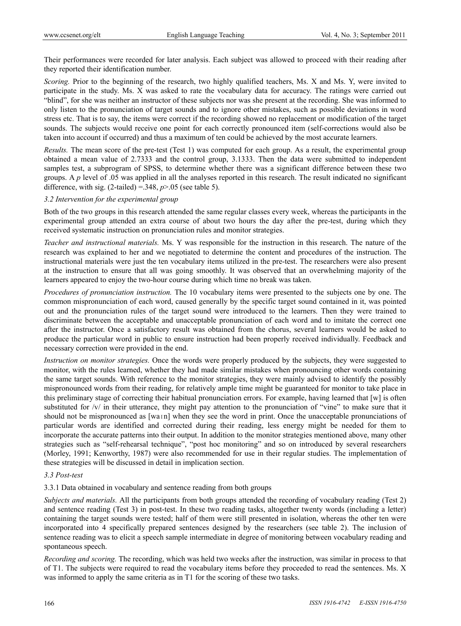Their performances were recorded for later analysis. Each subject was allowed to proceed with their reading after they reported their identification number.

*Scoring.* Prior to the beginning of the research, two highly qualified teachers, Ms. X and Ms. Y, were invited to participate in the study. Ms. X was asked to rate the vocabulary data for accuracy. The ratings were carried out "blind", for she was neither an instructor of these subjects nor was she present at the recording. She was informed to only listen to the pronunciation of target sounds and to ignore other mistakes, such as possible deviations in word stress etc. That is to say, the items were correct if the recording showed no replacement or modification of the target sounds. The subjects would receive one point for each correctly pronounced item (self-corrections would also be taken into account if occurred) and thus a maximum of ten could be achieved by the most accurate learners.

*Results.* The mean score of the pre-test (Test 1) was computed for each group. As a result, the experimental group obtained a mean value of 2.7333 and the control group, 3.1333. Then the data were submitted to independent samples test, a subprogram of SPSS, to determine whether there was a significant difference between these two groups. A *p* level of .05 was applied in all the analyses reported in this research. The result indicated no significant difference, with sig.  $(2$ -tailed) = 348,  $p > 0.05$  (see table 5).

#### *3.2 Intervention for the experimental group*

Both of the two groups in this research attended the same regular classes every week, whereas the participants in the experimental group attended an extra course of about two hours the day after the pre-test, during which they received systematic instruction on pronunciation rules and monitor strategies.

*Teacher and instructional materials.* Ms. Y was responsible for the instruction in this research. The nature of the research was explained to her and we negotiated to determine the content and procedures of the instruction. The instructional materials were just the ten vocabulary items utilized in the pre-test. The researchers were also present at the instruction to ensure that all was going smoothly. It was observed that an overwhelming majority of the learners appeared to enjoy the two-hour course during which time no break was taken.

*Procedures of pronunciation instruction.* The 10 vocabulary items were presented to the subjects one by one. The common mispronunciation of each word, caused generally by the specific target sound contained in it, was pointed out and the pronunciation rules of the target sound were introduced to the learners. Then they were trained to discriminate between the acceptable and unacceptable pronunciation of each word and to imitate the correct one after the instructor. Once a satisfactory result was obtained from the chorus, several learners would be asked to produce the particular word in public to ensure instruction had been properly received individually. Feedback and necessary correction were provided in the end.

*Instruction on monitor strategies.* Once the words were properly produced by the subjects, they were suggested to monitor, with the rules learned, whether they had made similar mistakes when pronouncing other words containing the same target sounds. With reference to the monitor strategies, they were mainly advised to identify the possibly mispronounced words from their reading, for relatively ample time might be guaranteed for monitor to take place in this preliminary stage of correcting their habitual pronunciation errors. For example, having learned that [w] is often substituted for /v/ in their utterance, they might pay attention to the pronunciation of "vine" to make sure that it should not be mispronounced as [waɪn] when they see the word in print. Once the unacceptable pronunciations of particular words are identified and corrected during their reading, less energy might be needed for them to incorporate the accurate patterns into their output. In addition to the monitor strategies mentioned above, many other strategies such as "self-rehearsal technique", "post hoc monitoring" and so on introduced by several researchers (Morley, 1991; Kenworthy, 1987) were also recommended for use in their regular studies. The implementation of these strategies will be discussed in detail in implication section.

#### *3.3 Post-test*

3.3.1 Data obtained in vocabulary and sentence reading from both groups

*Subjects and materials.* All the participants from both groups attended the recording of vocabulary reading (Test 2) and sentence reading (Test 3) in post-test. In these two reading tasks, altogether twenty words (including a letter) containing the target sounds were tested; half of them were still presented in isolation, whereas the other ten were incorporated into 4 specifically prepared sentences designed by the researchers (see table 2). The inclusion of sentence reading was to elicit a speech sample intermediate in degree of monitoring between vocabulary reading and spontaneous speech.

*Recording and scoring.* The recording, which was held two weeks after the instruction, was similar in process to that of T1. The subjects were required to read the vocabulary items before they proceeded to read the sentences. Ms. X was informed to apply the same criteria as in T1 for the scoring of these two tasks.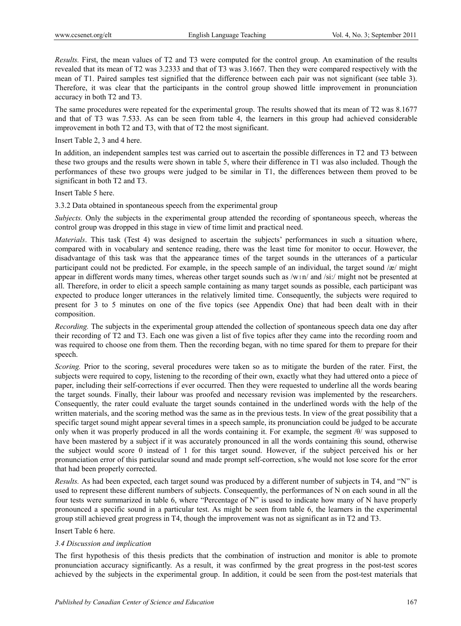*Results.* First, the mean values of T2 and T3 were computed for the control group. An examination of the results revealed that its mean of T2 was 3.2333 and that of T3 was 3.1667. Then they were compared respectively with the mean of T1. Paired samples test signified that the difference between each pair was not significant (see table 3). Therefore, it was clear that the participants in the control group showed little improvement in pronunciation accuracy in both T2 and T3.

The same procedures were repeated for the experimental group. The results showed that its mean of T2 was 8.1677 and that of T3 was 7.533. As can be seen from table 4, the learners in this group had achieved considerable improvement in both T2 and T3, with that of T2 the most significant.

Insert Table 2, 3 and 4 here.

In addition, an independent samples test was carried out to ascertain the possible differences in T2 and T3 between these two groups and the results were shown in table 5, where their difference in T1 was also included. Though the performances of these two groups were judged to be similar in T1, the differences between them proved to be significant in both T2 and T3.

Insert Table 5 here.

3.3.2 Data obtained in spontaneous speech from the experimental group

*Subjects.* Only the subjects in the experimental group attended the recording of spontaneous speech, whereas the control group was dropped in this stage in view of time limit and practical need.

*Materials*. This task (Test 4) was designed to ascertain the subjects' performances in such a situation where, compared with in vocabulary and sentence reading, there was the least time for monitor to occur. However, the disadvantage of this task was that the appearance times of the target sounds in the utterances of a particular participant could not be predicted. For example, in the speech sample of an individual, the target sound /æ/ might appear in different words many times, whereas other target sounds such as /wɪn/ and /si:/ might not be presented at all. Therefore, in order to elicit a speech sample containing as many target sounds as possible, each participant was expected to produce longer utterances in the relatively limited time. Consequently, the subjects were required to present for 3 to 5 minutes on one of the five topics (see Appendix One) that had been dealt with in their composition.

*Recording.* The subjects in the experimental group attended the collection of spontaneous speech data one day after their recording of T2 and T3. Each one was given a list of five topics after they came into the recording room and was required to choose one from them. Then the recording began, with no time spared for them to prepare for their speech.

*Scoring.* Prior to the scoring, several procedures were taken so as to mitigate the burden of the rater. First, the subjects were required to copy, listening to the recording of their own, exactly what they had uttered onto a piece of paper, including their self-corrections if ever occurred. Then they were requested to underline all the words bearing the target sounds. Finally, their labour was proofed and necessary revision was implemented by the researchers. Consequently, the rater could evaluate the target sounds contained in the underlined words with the help of the written materials, and the scoring method was the same as in the previous tests. In view of the great possibility that a specific target sound might appear several times in a speech sample, its pronunciation could be judged to be accurate only when it was properly produced in all the words containing it. For example, the segment /θ/ was supposed to have been mastered by a subject if it was accurately pronounced in all the words containing this sound, otherwise the subject would score 0 instead of 1 for this target sound. However, if the subject perceived his or her pronunciation error of this particular sound and made prompt self-correction, s/he would not lose score for the error that had been properly corrected.

*Results.* As had been expected, each target sound was produced by a different number of subjects in T4, and "N" is used to represent these different numbers of subjects. Consequently, the performances of N on each sound in all the four tests were summarized in table 6, where "Percentage of N" is used to indicate how many of N have properly pronounced a specific sound in a particular test. As might be seen from table 6, the learners in the experimental group still achieved great progress in T4, though the improvement was not as significant as in T2 and T3.

Insert Table 6 here.

#### *3.4 Discussion and implication*

The first hypothesis of this thesis predicts that the combination of instruction and monitor is able to promote pronunciation accuracy significantly. As a result, it was confirmed by the great progress in the post-test scores achieved by the subjects in the experimental group. In addition, it could be seen from the post-test materials that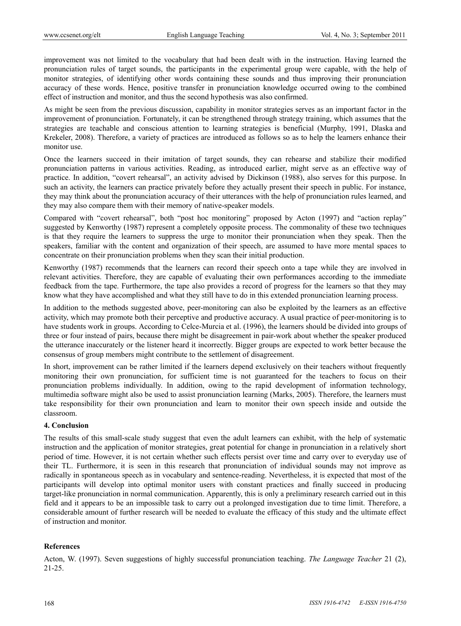improvement was not limited to the vocabulary that had been dealt with in the instruction. Having learned the pronunciation rules of target sounds, the participants in the experimental group were capable, with the help of monitor strategies, of identifying other words containing these sounds and thus improving their pronunciation accuracy of these words. Hence, positive transfer in pronunciation knowledge occurred owing to the combined effect of instruction and monitor, and thus the second hypothesis was also confirmed.

As might be seen from the previous discussion, capability in monitor strategies serves as an important factor in the improvement of pronunciation. Fortunately, it can be strengthened through strategy training, which assumes that the strategies are teachable and conscious attention to learning strategies is beneficial (Murphy, 1991, Dlaska and Krekeler, 2008). Therefore, a variety of practices are introduced as follows so as to help the learners enhance their monitor use.

Once the learners succeed in their imitation of target sounds, they can rehearse and stabilize their modified pronunciation patterns in various activities. Reading, as introduced earlier, might serve as an effective way of practice. In addition, "covert rehearsal", an activity advised by Dickinson (1988), also serves for this purpose. In such an activity, the learners can practice privately before they actually present their speech in public. For instance, they may think about the pronunciation accuracy of their utterances with the help of pronunciation rules learned, and they may also compare them with their memory of native-speaker models.

Compared with "covert rehearsal", both "post hoc monitoring" proposed by Acton (1997) and "action replay" suggested by Kenworthy (1987) represent a completely opposite process. The commonality of these two techniques is that they require the learners to suppress the urge to monitor their pronunciation when they speak. Then the speakers, familiar with the content and organization of their speech, are assumed to have more mental spaces to concentrate on their pronunciation problems when they scan their initial production.

Kenworthy (1987) recommends that the learners can record their speech onto a tape while they are involved in relevant activities. Therefore, they are capable of evaluating their own performances according to the immediate feedback from the tape. Furthermore, the tape also provides a record of progress for the learners so that they may know what they have accomplished and what they still have to do in this extended pronunciation learning process.

In addition to the methods suggested above, peer-monitoring can also be exploited by the learners as an effective activity, which may promote both their perceptive and productive accuracy. A usual practice of peer-monitoring is to have students work in groups. According to Celce-Murcia et al. (1996), the learners should be divided into groups of three or four instead of pairs, because there might be disagreement in pair-work about whether the speaker produced the utterance inaccurately or the listener heard it incorrectly. Bigger groups are expected to work better because the consensus of group members might contribute to the settlement of disagreement.

In short, improvement can be rather limited if the learners depend exclusively on their teachers without frequently monitoring their own pronunciation, for sufficient time is not guaranteed for the teachers to focus on their pronunciation problems individually. In addition, owing to the rapid development of information technology, multimedia software might also be used to assist pronunciation learning (Marks, 2005). Therefore, the learners must take responsibility for their own pronunciation and learn to monitor their own speech inside and outside the classroom.

#### **4. Conclusion**

The results of this small-scale study suggest that even the adult learners can exhibit, with the help of systematic instruction and the application of monitor strategies, great potential for change in pronunciation in a relatively short period of time. However, it is not certain whether such effects persist over time and carry over to everyday use of their TL. Furthermore, it is seen in this research that pronunciation of individual sounds may not improve as radically in spontaneous speech as in vocabulary and sentence-reading. Nevertheless, it is expected that most of the participants will develop into optimal monitor users with constant practices and finally succeed in producing target-like pronunciation in normal communication. Apparently, this is only a preliminary research carried out in this field and it appears to be an impossible task to carry out a prolonged investigation due to time limit. Therefore, a considerable amount of further research will be needed to evaluate the efficacy of this study and the ultimate effect of instruction and monitor.

#### **References**

Acton, W. (1997). Seven suggestions of highly successful pronunciation teaching. *The Language Teacher* 21 (2), 21-25.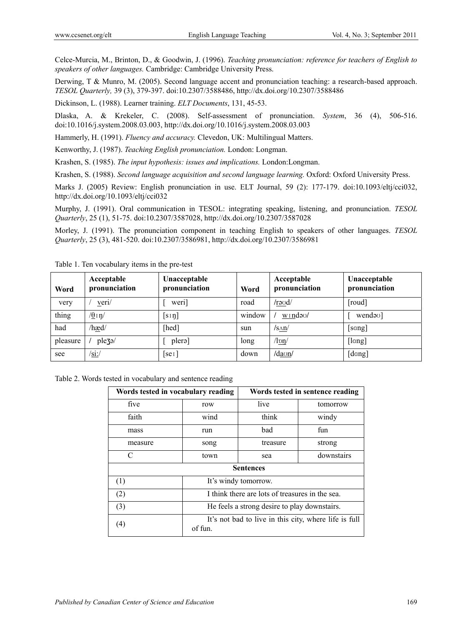Celce-Murcia, M., Brinton, D., & Goodwin, J. (1996). *Teaching pronunciation: reference for teachers of English to speakers of other languages.* Cambridge: Cambridge University Press.

Derwing, T & Munro, M. (2005). Second language accent and pronunciation teaching: a research-based approach. *TESOL Quarterly,* 39 (3), 379-397. doi:10.2307/3588486, http://dx.doi.org/10.2307/3588486

Dickinson, L. (1988). Learner training. *ELT Documents*, 131, 45-53.

Dlaska, A. & Krekeler, C. (2008). Self-assessment of pronunciation. *System*, 36 (4), 506-516. doi:10.1016/j.system.2008.03.003, http://dx.doi.org/10.1016/j.system.2008.03.003

Hammerly, H. (1991). *Fluency and accuracy.* Clevedon, UK: Multilingual Matters.

Kenworthy, J. (1987). *Teaching English pronunciation.* London: Longman.

Krashen, S. (1985). *The input hypothesis: issues and implications.* London:Longman.

Krashen, S. (1988). *Second language acquisition and second language learning.* Oxford: Oxford University Press.

Marks J. (2005) Review: English pronunciation in use. ELT Journal, 59 (2): 177-179. doi:10.1093/eltj/cci032, http://dx.doi.org/10.1093/eltj/cci032

Murphy, J. (1991). Oral communication in TESOL: integrating speaking, listening, and pronunciation. *TESOL Quarterly*, 25 (1), 51-75. doi:10.2307/3587028, http://dx.doi.org/10.2307/3587028

Morley, J. (1991). The pronunciation component in teaching English to speakers of other languages. *TESOL Quarterly*, 25 (3), 481-520. doi:10.2307/3586981, http://dx.doi.org/10.2307/3586981

| Word     | Acceptable<br>pronunciation | Unacceptable<br>pronunciation | Word   | Acceptable<br>pronunciation | Unacceptable<br>pronunciation |
|----------|-----------------------------|-------------------------------|--------|-----------------------------|-------------------------------|
| very     | veri/                       | weri]                         | road   | /raud/                      | [roud]                        |
| thing    | $\frac{\theta}{\eta}$ i n/  | $[sI \eta]$                   | window | $w_1$ ndə $v_2$             | wend <sub>av</sub> ]          |
| had      | /hæd/                       | [hed]                         | sun    | $/s_{\Lambda}n/$            | [sang]                        |
| pleasure | ple3 <sup>o</sup> /         | plera]                        | long   | /l <u>on</u> /              | [lang]                        |
| see      | $\sqrt{\sin \theta}$        | $\lceil$ se $\iota$           | down   | $\frac{d$ aon/              | [dang]                        |

Table 1. Ten vocabulary items in the pre-test

Table 2. Words tested in vocabulary and sentence reading

| Words tested in vocabulary reading                                      |                                                 | Words tested in sentence reading |            |  |  |  |  |
|-------------------------------------------------------------------------|-------------------------------------------------|----------------------------------|------------|--|--|--|--|
| five                                                                    | row                                             | live                             | tomorrow   |  |  |  |  |
| faith                                                                   | wind                                            | think                            | windy      |  |  |  |  |
| mass                                                                    | run                                             | bad                              | fun        |  |  |  |  |
| measure                                                                 | song                                            | treasure                         | strong     |  |  |  |  |
| C                                                                       | town                                            | sea                              | downstairs |  |  |  |  |
|                                                                         | <b>Sentences</b>                                |                                  |            |  |  |  |  |
| (1)                                                                     | It's windy tomorrow.                            |                                  |            |  |  |  |  |
| (2)                                                                     | I think there are lots of treasures in the sea. |                                  |            |  |  |  |  |
| (3)                                                                     | He feels a strong desire to play downstairs.    |                                  |            |  |  |  |  |
| It's not bad to live in this city, where life is full<br>(4)<br>of fun. |                                                 |                                  |            |  |  |  |  |